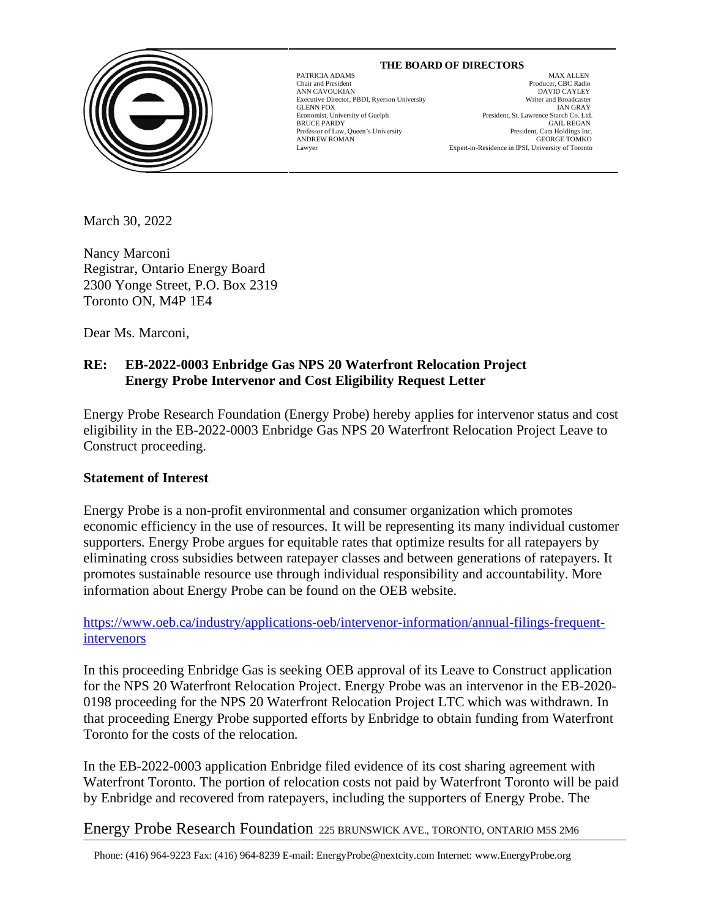

# **THE BOARD OF DIRECTORS**

GLENN FOX

 $\overline{\phantom{a}}$ 

MAX ALLEN Chair and President Producer, CBC Radio ANN CAVOUKIAN<br>
Executive Director. PBDI. Ryerson University<br>
Executive Director. PBDI. Ryerson University<br>
Uniter and Broadcaster Executive Director, PBDI, Ryerson University Writer and Broadcaster<br>GLENN FOX 1997 (March 2002) Economist, University of Guelph President, St. Lawrence Starch Co. Ltd. BRUCE PARDY GAIL REGAN Professor of Law, Queen's University **Example 2018** President, Cara Holdings Inc. Professor of Law, Queen's University President, Cara Holdings Inc.<br>ANDREW ROMAN GEORGE TOMKO ANDREW ROMAN GEORGE TOMKO Lawyer Expert-in-Residence in IPSI, University of Toronto

March 30, 2022

Nancy Marconi Registrar, Ontario Energy Board 2300 Yonge Street, P.O. Box 2319 Toronto ON, M4P 1E4

Dear Ms. Marconi,

## **RE: EB-2022-0003 Enbridge Gas NPS 20 Waterfront Relocation Project Energy Probe Intervenor and Cost Eligibility Request Letter**

Energy Probe Research Foundation (Energy Probe) hereby applies for intervenor status and cost eligibility in the EB-2022-0003 Enbridge Gas NPS 20 Waterfront Relocation Project Leave to Construct proceeding.

## **Statement of Interest**

Energy Probe is a non-profit environmental and consumer organization which promotes economic efficiency in the use of resources. It will be representing its many individual customer supporters. Energy Probe argues for equitable rates that optimize results for all ratepayers by eliminating cross subsidies between ratepayer classes and between generations of ratepayers. It promotes sustainable resource use through individual responsibility and accountability. More information about Energy Probe can be found on the OEB website.

[https://www.oeb.ca/industry/applications-oeb/intervenor-information/annual-filings-frequent](https://www.oeb.ca/industry/applications-oeb/intervenor-information/annual-filings-frequent-intervenors)[intervenors](https://www.oeb.ca/industry/applications-oeb/intervenor-information/annual-filings-frequent-intervenors)

In this proceeding Enbridge Gas is seeking OEB approval of its Leave to Construct application for the NPS 20 Waterfront Relocation Project. Energy Probe was an intervenor in the EB-2020- 0198 proceeding for the NPS 20 Waterfront Relocation Project LTC which was withdrawn. In that proceeding Energy Probe supported efforts by Enbridge to obtain funding from Waterfront Toronto for the costs of the relocation.

In the EB-2022-0003 application Enbridge filed evidence of its cost sharing agreement with Waterfront Toronto. The portion of relocation costs not paid by Waterfront Toronto will be paid by Enbridge and recovered from ratepayers, including the supporters of Energy Probe. The

Energy Probe Research Foundation 225 BRUNSWICK AVE., TORONTO, ONTARIO M5S 2M6